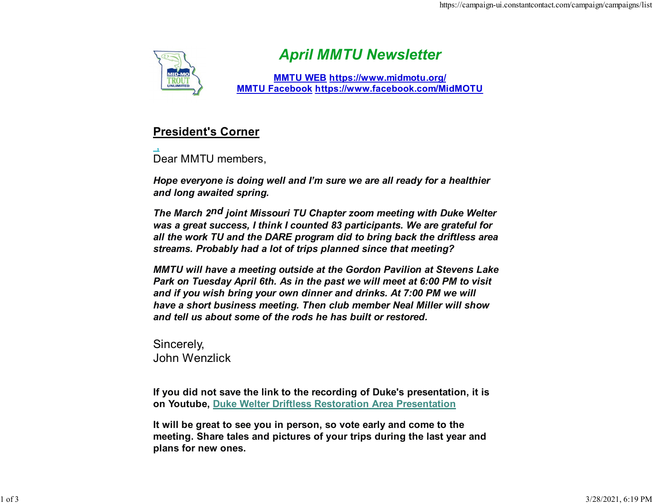

## April MMTU Newsletter

MMTU WEB https://www.midmotu.org/ MMTU Facebook https://www.facebook.com/MidMOTU

## President's Corner

Dear MMTU members,

Hope everyone is doing well and I'm sure we are all ready for a healthier and long awaited spring.

The March 2<sup>nd</sup> joint Missouri TU Chapter zoom meeting with Duke Welter was a great success, I think I counted 83 participants. We are grateful for all the work TU and the DARE program did to bring back the driftless area streams. Probably had a lot of trips planned since that meeting?

MMTU will have a meeting outside at the Gordon Pavilion at Stevens Lake Park on Tuesday April 6th. As in the past we will meet at 6:00 PM to visit and if you wish bring your own dinner and drinks. At 7:00 PM we will have a short business meeting. Then club member Neal Miller will show and tell us about some of the rods he has built or restored.

Sincerely, John Wenzlick

If you did not save the link to the recording of Duke's presentation, it is on Youtube, Duke Welter Driftless Restoration Area Presentation

It will be great to see you in person, so vote early and come to the meeting. Share tales and pictures of your trips during the last year and plans for new ones.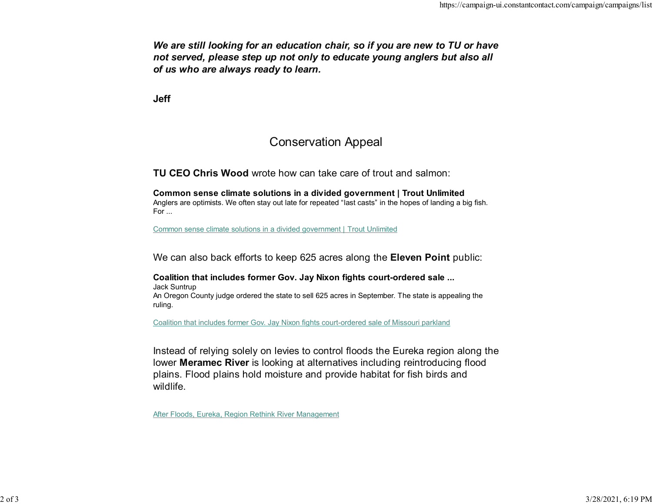We are still looking for an education chair, so if you are new to TU or have not served, please step up not only to educate young anglers but also all of us who are always ready to learn.

Jeff

## Conservation Appeal

TU CEO Chris Wood wrote how can take care of trout and salmon:

Common sense climate solutions in a divided government | Trout Unlimited Anglers are optimists. We often stay out late for repeated "last casts" in the hopes of landing a big fish. For ...

Common sense climate solutions in a divided government | Trout Unlimited

We can also back efforts to keep 625 acres along the **Eleven Point** public:

Coalition that includes former Gov. Jay Nixon fights court-ordered sale ... Jack Suntrup An Oregon County judge ordered the state to sell 625 acres in September. The state is appealing the ruling.

Coalition that includes former Gov. Jay Nixon fights court-ordered sale of Missouri parkland

Instead of relying solely on levies to control floods the Eureka region along the lower Meramec River is looking at alternatives including reintroducing flood plains. Flood plains hold moisture and provide habitat for fish birds and wildlife.

After Floods, Eureka, Region Rethink River Management